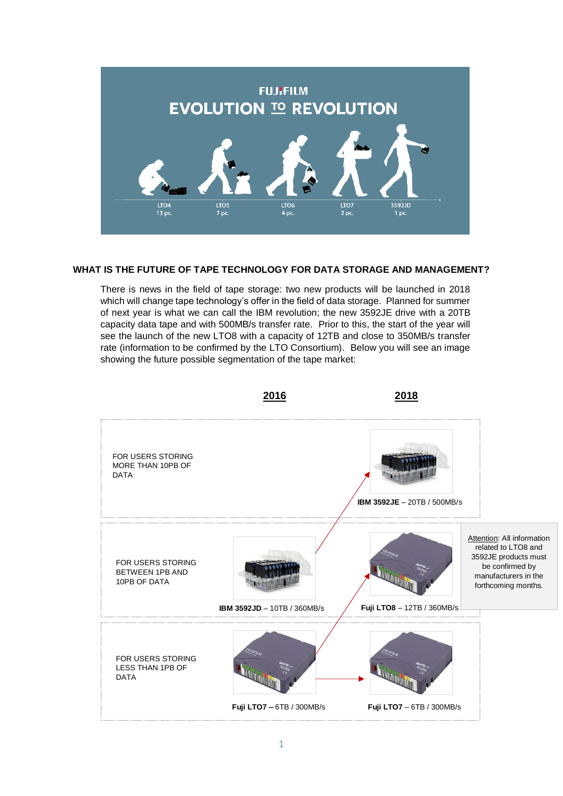

# **WHAT IS THE FUTURE OF TAPE TECHNOLOGY FOR DATA STORAGE AND MANAGEMENT?**

There is news in the field of tape storage: two new products will be launched in 2018 which will change tape technology's offer in the field of data storage. Planned for summer of next year is what we can call the IBM revolution; the new 3592JE drive with a 20TB capacity data tape and with 500MB/s transfer rate. Prior to this, the start of the year will see the launch of the new LTO8 with a capacity of 12TB and close to 350MB/s transfer rate (information to be confirmed by the LTO Consortium). Below you will see an image showing the future possible segmentation of the tape market:

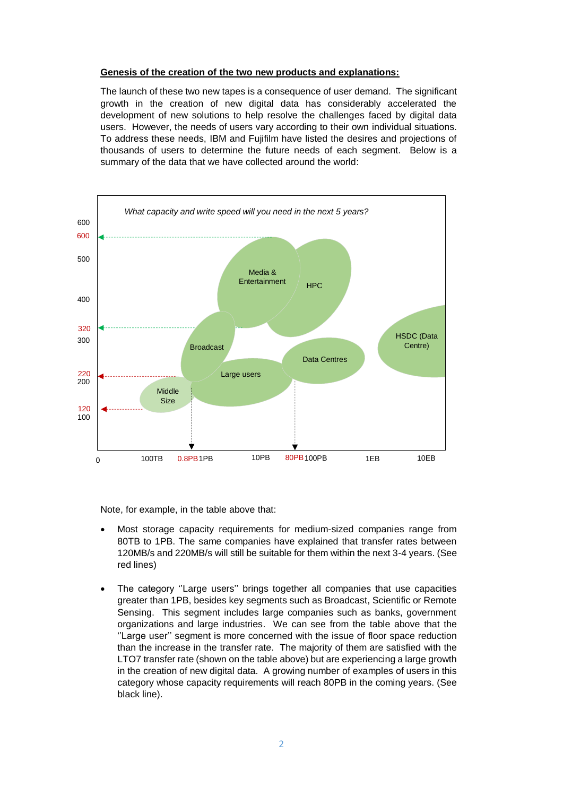### **Genesis of the creation of the two new products and explanations:**

The launch of these two new tapes is a consequence of user demand. The significant growth in the creation of new digital data has considerably accelerated the development of new solutions to help resolve the challenges faced by digital data users. However, the needs of users vary according to their own individual situations. To address these needs, IBM and Fujifilm have listed the desires and projections of thousands of users to determine the future needs of each segment. Below is a summary of the data that we have collected around the world:



Note, for example, in the table above that:

- Most storage capacity requirements for medium-sized companies range from 80TB to 1PB. The same companies have explained that transfer rates between 120MB/s and 220MB/s will still be suitable for them within the next 3-4 years. (See red lines)
- The category ''Large users'' brings together all companies that use capacities greater than 1PB, besides key segments such as Broadcast, Scientific or Remote Sensing. This segment includes large companies such as banks, government organizations and large industries. We can see from the table above that the "Large user" segment is more concerned with the issue of floor space reduction than the increase in the transfer rate. The majority of them are satisfied with the LTO7 transfer rate (shown on the table above) but are experiencing a large growth in the creation of new digital data. A growing number of examples of users in this category whose capacity requirements will reach 80PB in the coming years. (See black line).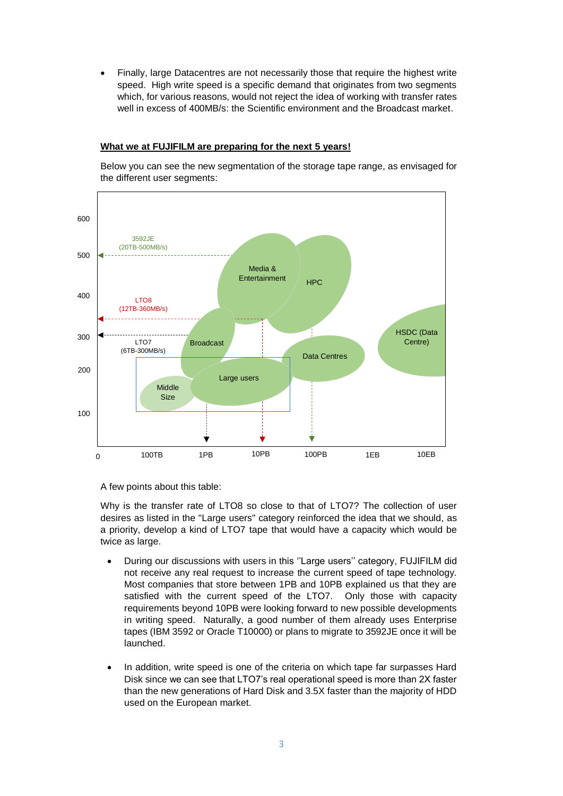Finally, large Datacentres are not necessarily those that require the highest write speed. High write speed is a specific demand that originates from two segments which, for various reasons, would not reject the idea of working with transfer rates well in excess of 400MB/s: the Scientific environment and the Broadcast market.

# **What we at FUJIFILM are preparing for the next 5 years!**

Below you can see the new segmentation of the storage tape range, as envisaged for the different user segments:



A few points about this table:

Why is the transfer rate of LTO8 so close to that of LTO7? The collection of user desires as listed in the "Large users" category reinforced the idea that we should, as a priority, develop a kind of LTO7 tape that would have a capacity which would be twice as large.

- During our discussions with users in this ''Large users'' category, FUJIFILM did not receive any real request to increase the current speed of tape technology. Most companies that store between 1PB and 10PB explained us that they are satisfied with the current speed of the LTO7. Only those with capacity requirements beyond 10PB were looking forward to new possible developments in writing speed. Naturally, a good number of them already uses Enterprise tapes (IBM 3592 or Oracle T10000) or plans to migrate to 3592JE once it will be launched.
- In addition, write speed is one of the criteria on which tape far surpasses Hard Disk since we can see that LTO7's real operational speed is more than 2X faster than the new generations of Hard Disk and 3.5X faster than the majority of HDD used on the European market.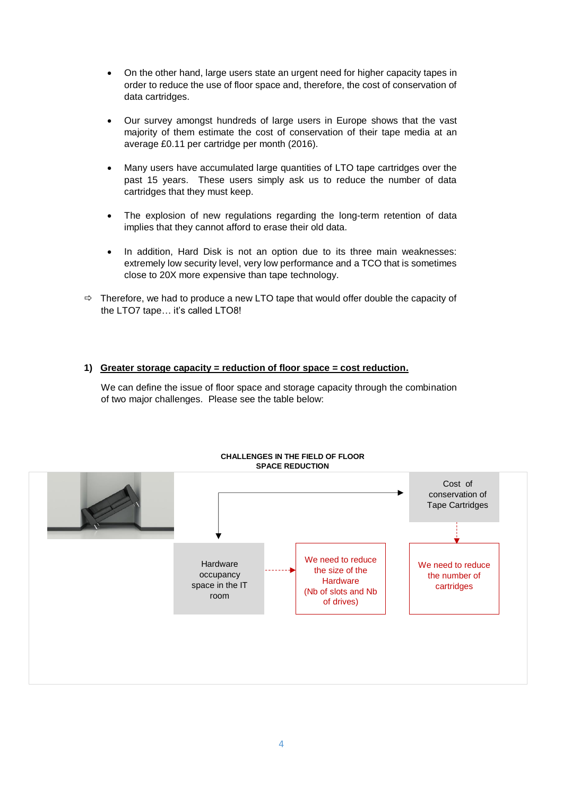- On the other hand, large users state an urgent need for higher capacity tapes in order to reduce the use of floor space and, therefore, the cost of conservation of data cartridges.
- Our survey amongst hundreds of large users in Europe shows that the vast majority of them estimate the cost of conservation of their tape media at an average £0.11 per cartridge per month (2016).
- Many users have accumulated large quantities of LTO tape cartridges over the past 15 years. These users simply ask us to reduce the number of data cartridges that they must keep.
- The explosion of new regulations regarding the long-term retention of data implies that they cannot afford to erase their old data.
- In addition, Hard Disk is not an option due to its three main weaknesses: extremely low security level, very low performance and a TCO that is sometimes close to 20X more expensive than tape technology.
- $\Rightarrow$  Therefore, we had to produce a new LTO tape that would offer double the capacity of the LTO7 tape… it's called LTO8!

# **1) Greater storage capacity = reduction of floor space = cost reduction.**

We can define the issue of floor space and storage capacity through the combination of two major challenges. Please see the table below:

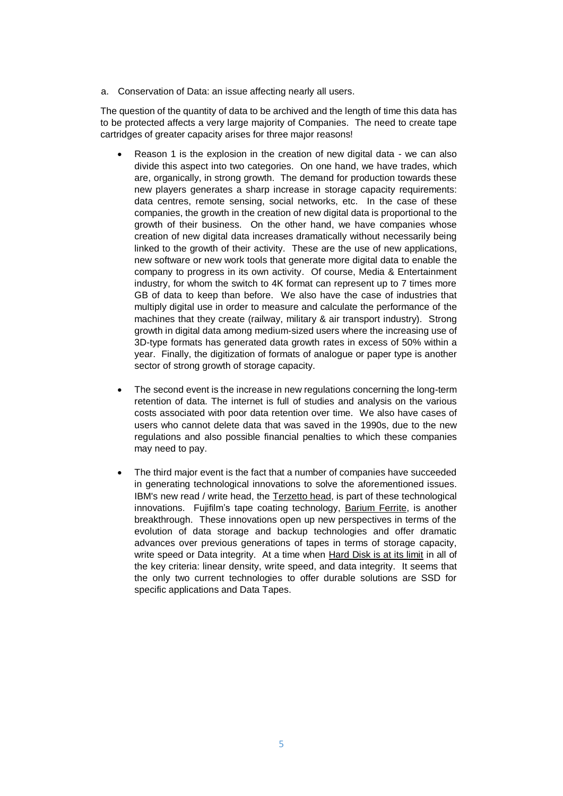a. Conservation of Data: an issue affecting nearly all users.

The question of the quantity of data to be archived and the length of time this data has to be protected affects a very large majority of Companies. The need to create tape cartridges of greater capacity arises for three major reasons!

- Reason 1 is the explosion in the creation of new digital data we can also divide this aspect into two categories. On one hand, we have trades, which are, organically, in strong growth. The demand for production towards these new players generates a sharp increase in storage capacity requirements: data centres, remote sensing, social networks, etc. In the case of these companies, the growth in the creation of new digital data is proportional to the growth of their business. On the other hand, we have companies whose creation of new digital data increases dramatically without necessarily being linked to the growth of their activity. These are the use of new applications, new software or new work tools that generate more digital data to enable the company to progress in its own activity. Of course, Media & Entertainment industry, for whom the switch to 4K format can represent up to 7 times more GB of data to keep than before. We also have the case of industries that multiply digital use in order to measure and calculate the performance of the machines that they create (railway, military & air transport industry). Strong growth in digital data among medium-sized users where the increasing use of 3D-type formats has generated data growth rates in excess of 50% within a year. Finally, the digitization of formats of analogue or paper type is another sector of strong growth of storage capacity.
- The second event is the increase in new regulations concerning the long-term retention of data. The internet is full of studies and analysis on the various costs associated with poor data retention over time. We also have cases of users who cannot delete data that was saved in the 1990s, due to the new regulations and also possible financial penalties to which these companies may need to pay.
- The third major event is the fact that a number of companies have succeeded in generating technological innovations to solve the aforementioned issues. IBM's new read / write head, the Terzetto head, is part of these technological innovations. Fujifilm's tape coating technology, Barium Ferrite, is another breakthrough. These innovations open up new perspectives in terms of the evolution of data storage and backup technologies and offer dramatic advances over previous generations of tapes in terms of storage capacity, write speed or Data integrity. At a time when Hard Disk is at its limit in all of the key criteria: linear density, write speed, and data integrity. It seems that the only two current technologies to offer durable solutions are SSD for specific applications and Data Tapes.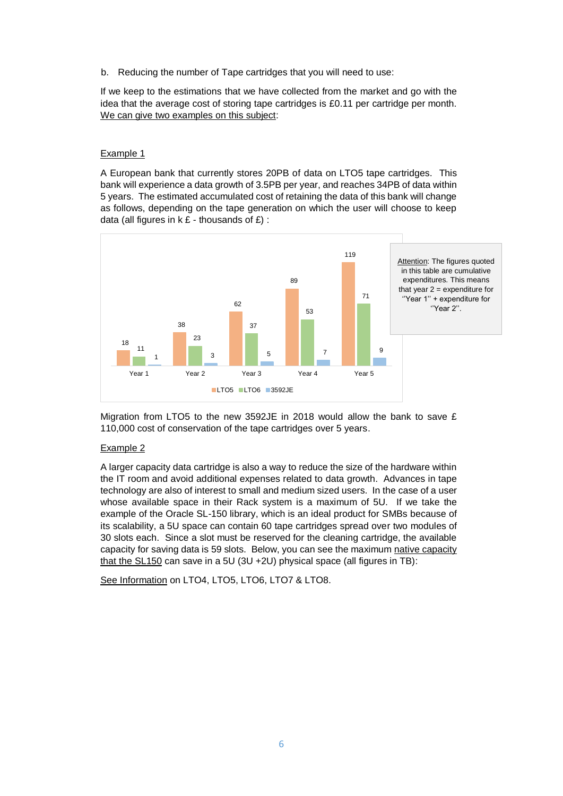b. Reducing the number of Tape cartridges that you will need to use:

If we keep to the estimations that we have collected from the market and go with the idea that the average cost of storing tape cartridges is £0.11 per cartridge per month. We can give two examples on this subject:

### Example 1

A European bank that currently stores 20PB of data on LTO5 tape cartridges. This bank will experience a data growth of 3.5PB per year, and reaches 34PB of data within 5 years. The estimated accumulated cost of retaining the data of this bank will change as follows, depending on the tape generation on which the user will choose to keep data (all figures in  $k \mathcal{L}$  - thousands of  $\mathcal{L}$ ) :



Migration from LTO5 to the new 3592JE in 2018 would allow the bank to save  $E$ 110,000 cost of conservation of the tape cartridges over 5 years.

# Example 2

A larger capacity data cartridge is also a way to reduce the size of the hardware within the IT room and avoid additional expenses related to data growth. Advances in tape technology are also of interest to small and medium sized users. In the case of a user whose available space in their Rack system is a maximum of 5U. If we take the example of the Oracle SL-150 library, which is an ideal product for SMBs because of its scalability, a 5U space can contain 60 tape cartridges spread over two modules of 30 slots each. Since a slot must be reserved for the cleaning cartridge, the available capacity for saving data is 59 slots. Below, you can see the maximum native capacity that the SL150 can save in a 5U (3U +2U) physical space (all figures in TB):

See Information on LTO4, LTO5, LTO6, LTO7 & LTO8.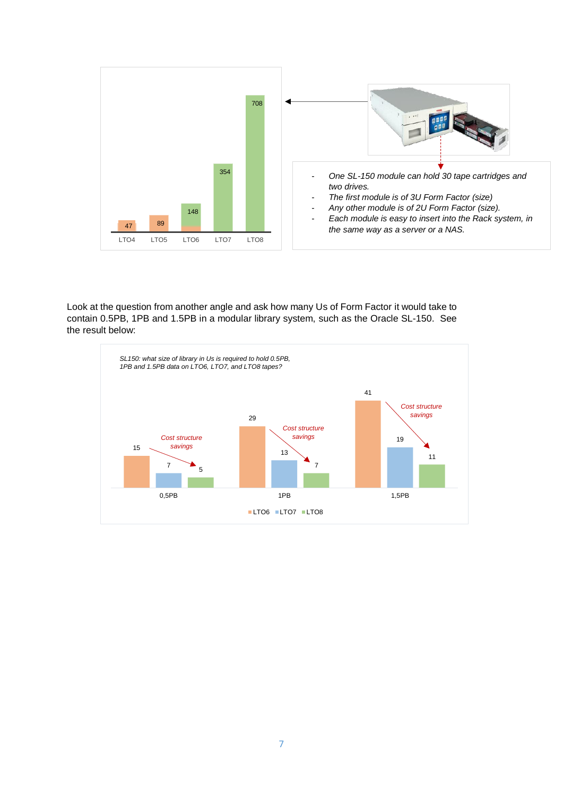

Look at the question from another angle and ask how many Us of Form Factor it would take to contain 0.5PB, 1PB and 1.5PB in a modular library system, such as the Oracle SL-150. See the result below:

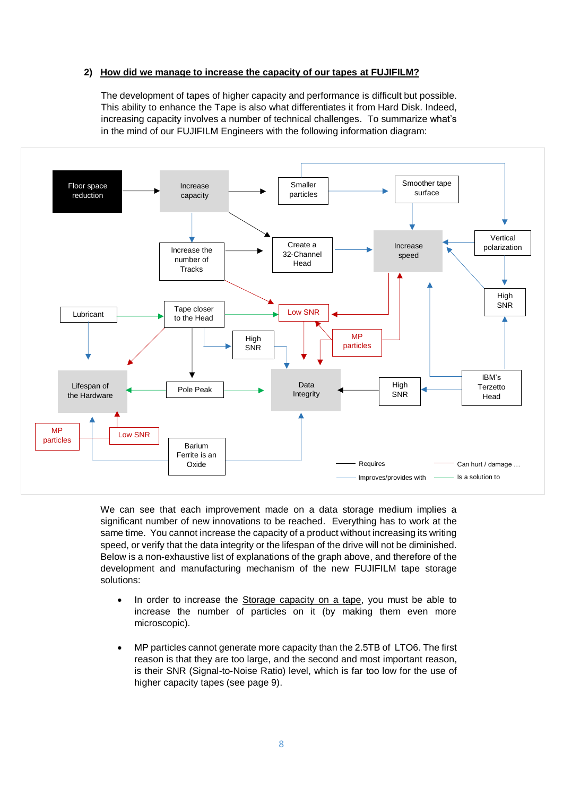## **2) How did we manage to increase the capacity of our tapes at FUJIFILM?**

The development of tapes of higher capacity and performance is difficult but possible. This ability to enhance the Tape is also what differentiates it from Hard Disk. Indeed, increasing capacity involves a number of technical challenges. To summarize what's in the mind of our FUJIFILM Engineers with the following information diagram:



We can see that each improvement made on a data storage medium implies a significant number of new innovations to be reached. Everything has to work at the same time. You cannot increase the capacity of a product without increasing its writing speed, or verify that the data integrity or the lifespan of the drive will not be diminished. Below is a non-exhaustive list of explanations of the graph above, and therefore of the development and manufacturing mechanism of the new FUJIFILM tape storage solutions:

- In order to increase the Storage capacity on a tape, you must be able to increase the number of particles on it (by making them even more microscopic).
- MP particles cannot generate more capacity than the 2.5TB of LTO6. The first reason is that they are too large, and the second and most important reason, is their SNR (Signal-to-Noise Ratio) level, which is far too low for the use of higher capacity tapes (see page 9).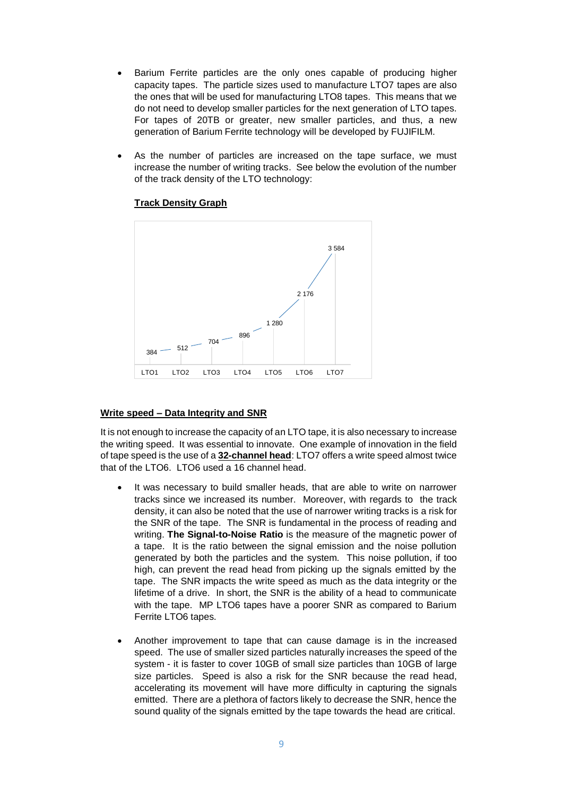- Barium Ferrite particles are the only ones capable of producing higher capacity tapes. The particle sizes used to manufacture LTO7 tapes are also the ones that will be used for manufacturing LTO8 tapes. This means that we do not need to develop smaller particles for the next generation of LTO tapes. For tapes of 20TB or greater, new smaller particles, and thus, a new generation of Barium Ferrite technology will be developed by FUJIFILM.
- As the number of particles are increased on the tape surface, we must increase the number of writing tracks. See below the evolution of the number of the track density of the LTO technology:



# **Track Density Graph**

# **Write speed – Data Integrity and SNR**

It is not enough to increase the capacity of an LTO tape, it is also necessary to increase the writing speed. It was essential to innovate. One example of innovation in the field of tape speed is the use of a **32-channel head**: LTO7 offers a write speed almost twice that of the LTO6. LTO6 used a 16 channel head.

- It was necessary to build smaller heads, that are able to write on narrower tracks since we increased its number. Moreover, with regards to the track density, it can also be noted that the use of narrower writing tracks is a risk for the SNR of the tape. The SNR is fundamental in the process of reading and writing. **The Signal-to-Noise Ratio** is the measure of the magnetic power of a tape. It is the ratio between the signal emission and the noise pollution generated by both the particles and the system. This noise pollution, if too high, can prevent the read head from picking up the signals emitted by the tape. The SNR impacts the write speed as much as the data integrity or the lifetime of a drive. In short, the SNR is the ability of a head to communicate with the tape. MP LTO6 tapes have a poorer SNR as compared to Barium Ferrite LTO6 tapes.
- Another improvement to tape that can cause damage is in the increased speed. The use of smaller sized particles naturally increases the speed of the system - it is faster to cover 10GB of small size particles than 10GB of large size particles. Speed is also a risk for the SNR because the read head, accelerating its movement will have more difficulty in capturing the signals emitted. There are a plethora of factors likely to decrease the SNR, hence the sound quality of the signals emitted by the tape towards the head are critical.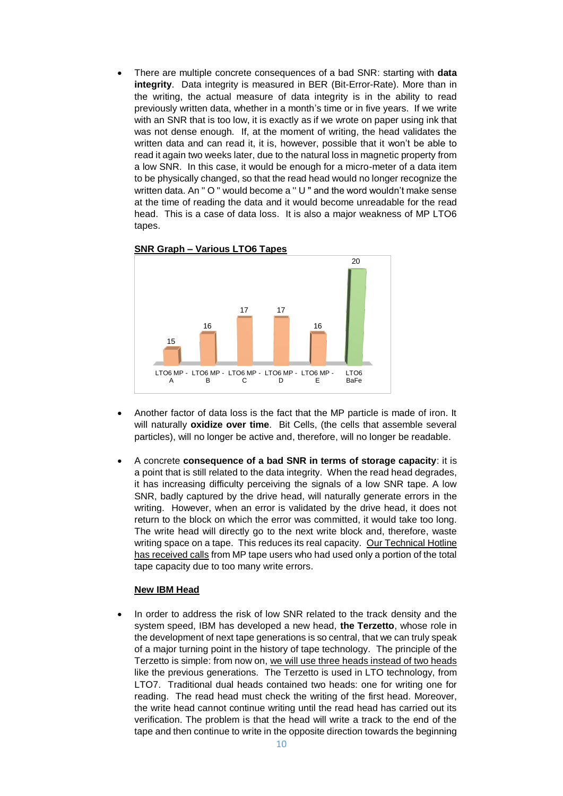There are multiple concrete consequences of a bad SNR: starting with **data integrity**. Data integrity is measured in BER (Bit-Error-Rate). More than in the writing, the actual measure of data integrity is in the ability to read previously written data, whether in a month's time or in five years. If we write with an SNR that is too low, it is exactly as if we wrote on paper using ink that was not dense enough. If, at the moment of writing, the head validates the written data and can read it, it is, however, possible that it won't be able to read it again two weeks later, due to the natural loss in magnetic property from a low SNR. In this case, it would be enough for a micro-meter of a data item to be physically changed, so that the read head would no longer recognize the written data. An " O " would become a " U " and the word wouldn't make sense at the time of reading the data and it would become unreadable for the read head. This is a case of data loss. It is also a major weakness of MP LTO6 tapes.



#### **SNR Graph – Various LTO6 Tapes**

- Another factor of data loss is the fact that the MP particle is made of iron. It will naturally **oxidize over time**. Bit Cells, (the cells that assemble several particles), will no longer be active and, therefore, will no longer be readable.
- A concrete **consequence of a bad SNR in terms of storage capacity**: it is a point that is still related to the data integrity. When the read head degrades, it has increasing difficulty perceiving the signals of a low SNR tape. A low SNR, badly captured by the drive head, will naturally generate errors in the writing. However, when an error is validated by the drive head, it does not return to the block on which the error was committed, it would take too long. The write head will directly go to the next write block and, therefore, waste writing space on a tape. This reduces its real capacity. Our Technical Hotline has received calls from MP tape users who had used only a portion of the total tape capacity due to too many write errors.

#### **New IBM Head**

 In order to address the risk of low SNR related to the track density and the system speed, IBM has developed a new head, **the Terzetto**, whose role in the development of next tape generations is so central, that we can truly speak of a major turning point in the history of tape technology. The principle of the Terzetto is simple: from now on, we will use three heads instead of two heads like the previous generations. The Terzetto is used in LTO technology, from LTO7. Traditional dual heads contained two heads: one for writing one for reading. The read head must check the writing of the first head. Moreover, the write head cannot continue writing until the read head has carried out its verification. The problem is that the head will write a track to the end of the tape and then continue to write in the opposite direction towards the beginning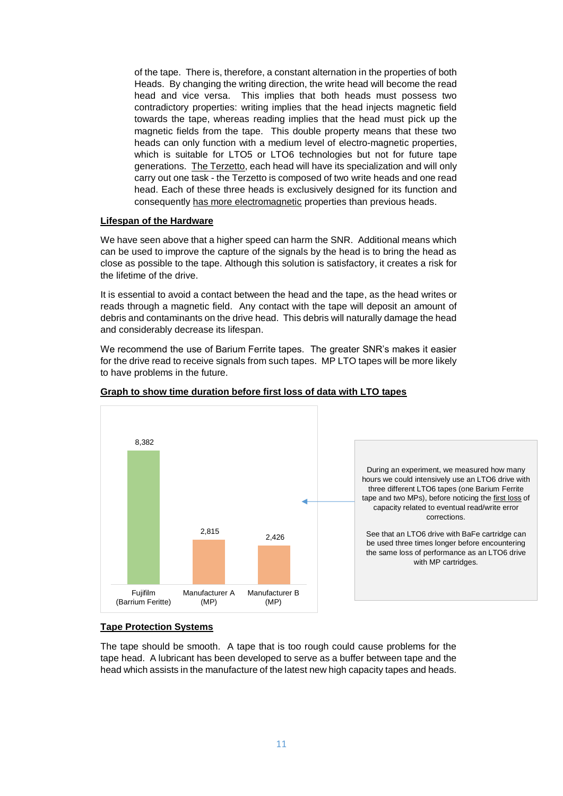of the tape. There is, therefore, a constant alternation in the properties of both Heads. By changing the writing direction, the write head will become the read head and vice versa. This implies that both heads must possess two contradictory properties: writing implies that the head injects magnetic field towards the tape, whereas reading implies that the head must pick up the magnetic fields from the tape. This double property means that these two heads can only function with a medium level of electro-magnetic properties, which is suitable for LTO5 or LTO6 technologies but not for future tape generations. The Terzetto, each head will have its specialization and will only carry out one task - the Terzetto is composed of two write heads and one read head. Each of these three heads is exclusively designed for its function and consequently has more electromagnetic properties than previous heads.

### **Lifespan of the Hardware**

We have seen above that a higher speed can harm the SNR. Additional means which can be used to improve the capture of the signals by the head is to bring the head as close as possible to the tape. Although this solution is satisfactory, it creates a risk for the lifetime of the drive.

It is essential to avoid a contact between the head and the tape, as the head writes or reads through a magnetic field. Any contact with the tape will deposit an amount of debris and contaminants on the drive head. This debris will naturally damage the head and considerably decrease its lifespan.

We recommend the use of Barium Ferrite tapes. The greater SNR's makes it easier for the drive read to receive signals from such tapes. MP LTO tapes will be more likely to have problems in the future.



### **Graph to show time duration before first loss of data with LTO tapes**

### **Tape Protection Systems**

The tape should be smooth. A tape that is too rough could cause problems for the tape head. A lubricant has been developed to serve as a buffer between tape and the head which assists in the manufacture of the latest new high capacity tapes and heads.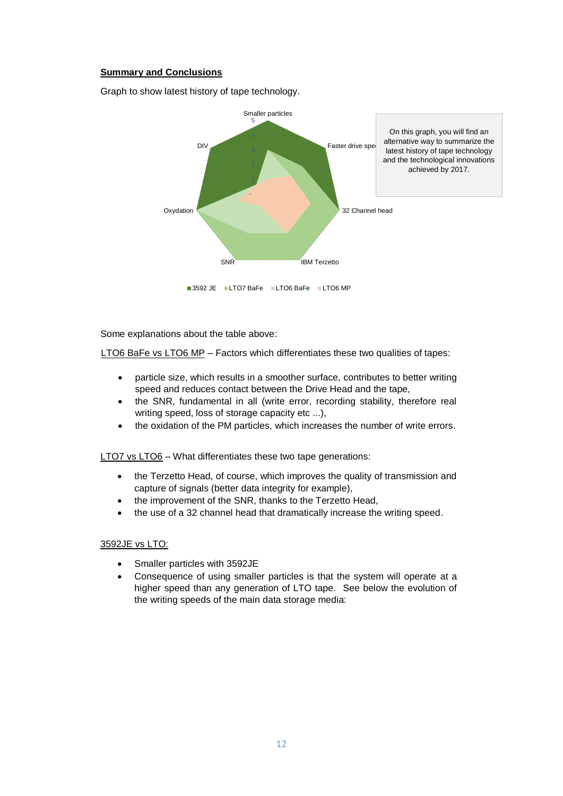# **Summary and Conclusions**

Graph to show latest history of tape technology.



3592 JE LTO7 BaFe LTO6 BaFe LTO6 MP

Some explanations about the table above:

LTO6 BaFe vs LTO6 MP – Factors which differentiates these two qualities of tapes:

- particle size, which results in a smoother surface, contributes to better writing speed and reduces contact between the Drive Head and the tape,
- the SNR, fundamental in all (write error, recording stability, therefore real writing speed, loss of storage capacity etc ...),
- the oxidation of the PM particles, which increases the number of write errors.

LTO7 vs LTO6 - What differentiates these two tape generations:

- the Terzetto Head, of course, which improves the quality of transmission and capture of signals (better data integrity for example),
- the improvement of the SNR, thanks to the Terzetto Head,
- the use of a 32 channel head that dramatically increase the writing speed.

# 3592JE vs LTO:

- Smaller particles with 3592JE
- Consequence of using smaller particles is that the system will operate at a higher speed than any generation of LTO tape. See below the evolution of the writing speeds of the main data storage media: